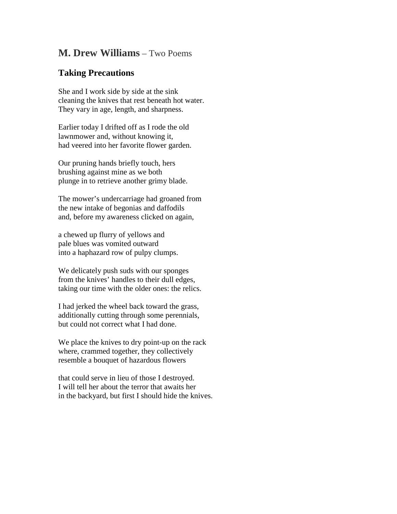## **M. Drew Williams** – Two Poems

## **Taking Precautions**

She and I work side by side at the sink cleaning the knives that rest beneath hot water. They vary in age, length, and sharpness.

Earlier today I drifted off as I rode the old lawnmower and, without knowing it, had veered into her favorite flower garden.

Our pruning hands briefly touch, hers brushing against mine as we both plunge in to retrieve another grimy blade.

The mower's undercarriage had groaned from the new intake of begonias and daffodils and, before my awareness clicked on again,

a chewed up flurry of yellows and pale blues was vomited outward into a haphazard row of pulpy clumps.

We delicately push suds with our sponges from the knives' handles to their dull edges, taking our time with the older ones: the relics.

I had jerked the wheel back toward the grass, additionally cutting through some perennials, but could not correct what I had done.

We place the knives to dry point-up on the rack where, crammed together, they collectively resemble a bouquet of hazardous flowers

that could serve in lieu of those I destroyed. I will tell her about the terror that awaits her in the backyard, but first I should hide the knives.